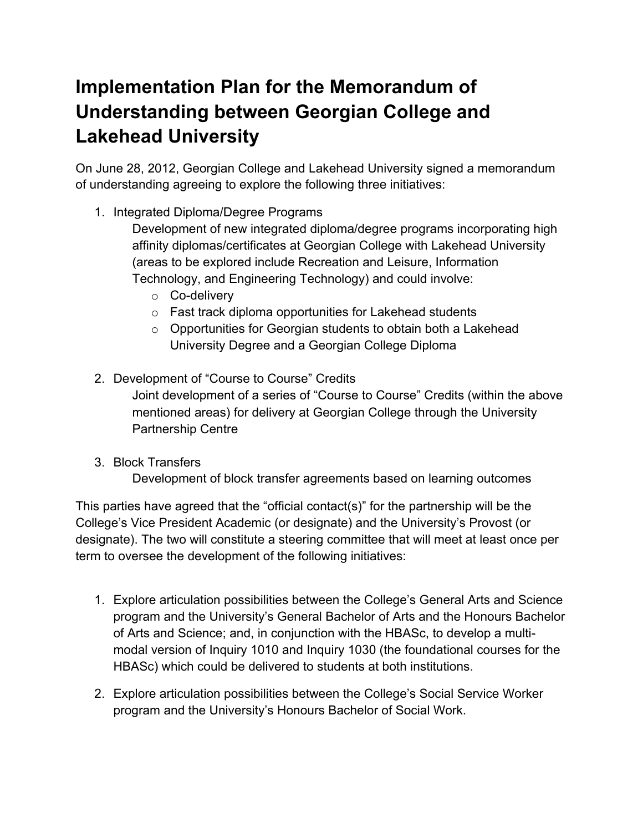## **Implementation Plan for the Memorandum of Understanding between Georgian College and Lakehead University**

On June 28, 2012, Georgian College and Lakehead University signed a memorandum of understanding agreeing to explore the following three initiatives:

1. Integrated Diploma/Degree Programs

Development of new integrated diploma/degree programs incorporating high affinity diplomas/certificates at Georgian College with Lakehead University (areas to be explored include Recreation and Leisure, Information Technology, and Engineering Technology) and could involve:

- o Co-delivery
- $\circ$  Fast track diploma opportunities for Lakehead students
- $\circ$  Opportunities for Georgian students to obtain both a Lakehead University Degree and a Georgian College Diploma
- 2. Development of "Course to Course" Credits Joint development of a series of "Course to Course" Credits (within the above mentioned areas) for delivery at Georgian College through the University Partnership Centre
- 3. Block Transfers

Development of block transfer agreements based on learning outcomes

This parties have agreed that the "official contact(s)" for the partnership will be the College's Vice President Academic (or designate) and the University's Provost (or designate). The two will constitute a steering committee that will meet at least once per term to oversee the development of the following initiatives:

- 1. Explore articulation possibilities between the College's General Arts and Science program and the University's General Bachelor of Arts and the Honours Bachelor of Arts and Science; and, in conjunction with the HBASc, to develop a multimodal version of Inquiry 1010 and Inquiry 1030 (the foundational courses for the HBASc) which could be delivered to students at both institutions.
- 2. Explore articulation possibilities between the College's Social Service Worker program and the University's Honours Bachelor of Social Work.